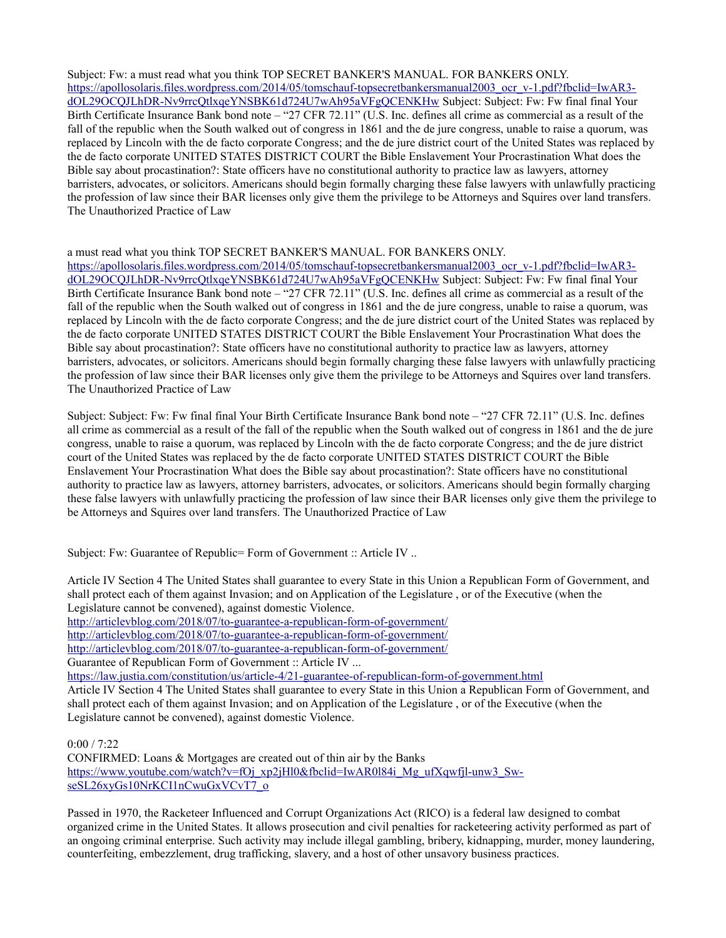Subject: Fw: a must read what you think TOP SECRET BANKER'S MANUAL. FOR BANKERS ONLY. [https://apollosolaris.files.wordpress.com/2014/05/tomschauf-topsecretbankersmanual2003\\_ocr\\_v-1.pdf?fbclid=IwAR3](https://apollosolaris.files.wordpress.com/2014/05/tomschauf-topsecretbankersmanual2003_ocr_v-1.pdf?fbclid=IwAR3-dOL29OCQJLhDR-Nv9rrcQtlxqeYNSBK61d724U7wAh95aVFgQCENKHw) [dOL29OCQJLhDR-Nv9rrcQtlxqeYNSBK61d724U7wAh95aVFgQCENKHw](https://apollosolaris.files.wordpress.com/2014/05/tomschauf-topsecretbankersmanual2003_ocr_v-1.pdf?fbclid=IwAR3-dOL29OCQJLhDR-Nv9rrcQtlxqeYNSBK61d724U7wAh95aVFgQCENKHw) Subject: Subject: Fw: Fw final final Your Birth Certificate Insurance Bank bond note – "27 CFR 72.11" (U.S. Inc. defines all crime as commercial as a result of the fall of the republic when the South walked out of congress in 1861 and the de jure congress, unable to raise a quorum, was replaced by Lincoln with the de facto corporate Congress; and the de jure district court of the United States was replaced by the de facto corporate UNITED STATES DISTRICT COURT the Bible Enslavement Your Procrastination What does the Bible say about procastination?: State officers have no constitutional authority to practice law as lawyers, attorney barristers, advocates, or solicitors. Americans should begin formally charging these false lawyers with unlawfully practicing the profession of law since their BAR licenses only give them the privilege to be Attorneys and Squires over land transfers. The Unauthorized Practice of Law

## a must read what you think TOP SECRET BANKER'S MANUAL. FOR BANKERS ONLY.

[https://apollosolaris.files.wordpress.com/2014/05/tomschauf-topsecretbankersmanual2003\\_ocr\\_v-1.pdf?fbclid=IwAR3](https://apollosolaris.files.wordpress.com/2014/05/tomschauf-topsecretbankersmanual2003_ocr_v-1.pdf?fbclid=IwAR3-dOL29OCQJLhDR-Nv9rrcQtlxqeYNSBK61d724U7wAh95aVFgQCENKHw) [dOL29OCQJLhDR-Nv9rrcQtlxqeYNSBK61d724U7wAh95aVFgQCENKHw](https://apollosolaris.files.wordpress.com/2014/05/tomschauf-topsecretbankersmanual2003_ocr_v-1.pdf?fbclid=IwAR3-dOL29OCQJLhDR-Nv9rrcQtlxqeYNSBK61d724U7wAh95aVFgQCENKHw) Subject: Subject: Fw: Fw final final Your Birth Certificate Insurance Bank bond note – "27 CFR 72.11" (U.S. Inc. defines all crime as commercial as a result of the fall of the republic when the South walked out of congress in 1861 and the de jure congress, unable to raise a quorum, was replaced by Lincoln with the de facto corporate Congress; and the de jure district court of the United States was replaced by the de facto corporate UNITED STATES DISTRICT COURT the Bible Enslavement Your Procrastination What does the Bible say about procastination?: State officers have no constitutional authority to practice law as lawyers, attorney barristers, advocates, or solicitors. Americans should begin formally charging these false lawyers with unlawfully practicing the profession of law since their BAR licenses only give them the privilege to be Attorneys and Squires over land transfers. The Unauthorized Practice of Law

Subject: Subject: Fw: Fw final final Your Birth Certificate Insurance Bank bond note – "27 CFR 72.11" (U.S. Inc. defines all crime as commercial as a result of the fall of the republic when the South walked out of congress in 1861 and the de jure congress, unable to raise a quorum, was replaced by Lincoln with the de facto corporate Congress; and the de jure district court of the United States was replaced by the de facto corporate UNITED STATES DISTRICT COURT the Bible Enslavement Your Procrastination What does the Bible say about procastination?: State officers have no constitutional authority to practice law as lawyers, attorney barristers, advocates, or solicitors. Americans should begin formally charging these false lawyers with unlawfully practicing the profession of law since their BAR licenses only give them the privilege to be Attorneys and Squires over land transfers. The Unauthorized Practice of Law

Subject: Fw: Guarantee of Republic= Form of Government :: Article IV ..

Article IV Section 4 The United States shall guarantee to every State in this Union a Republican Form of Government, and shall protect each of them against Invasion; and on Application of the Legislature , or of the Executive (when the Legislature cannot be convened), against domestic Violence.

<http://articlevblog.com/2018/07/to-guarantee-a-republican-form-of-government/>

<http://articlevblog.com/2018/07/to-guarantee-a-republican-form-of-government/>

<http://articlevblog.com/2018/07/to-guarantee-a-republican-form-of-government/>

Guarantee of Republican Form of Government :: Article IV ...

<https://law.justia.com/constitution/us/article-4/21-guarantee-of-republican-form-of-government.html>

Article IV Section 4 The United States shall guarantee to every State in this Union a Republican Form of Government, and shall protect each of them against Invasion; and on Application of the Legislature , or of the Executive (when the Legislature cannot be convened), against domestic Violence.

0:00 / 7:22

CONFIRMED: Loans & Mortgages are created out of thin air by the Banks [https://www.youtube.com/watch?v=fOj\\_xp2jHl0&fbclid=IwAR0l84i\\_Mg\\_ufXqwfjl-unw3\\_Sw](https://www.youtube.com/watch?v=fOj_xp2jHl0&fbclid=IwAR0l84i_Mg_ufXqwfjl-unw3_Sw-seSL26xyGs10NrKCI1nCwuGxVCvT7_o)[seSL26xyGs10NrKCI1nCwuGxVCvT7\\_o](https://www.youtube.com/watch?v=fOj_xp2jHl0&fbclid=IwAR0l84i_Mg_ufXqwfjl-unw3_Sw-seSL26xyGs10NrKCI1nCwuGxVCvT7_o)

Passed in 1970, the Racketeer Influenced and Corrupt Organizations Act (RICO) is a federal law designed to combat organized crime in the United States. It allows prosecution and civil penalties for racketeering activity performed as part of an ongoing criminal enterprise. Such activity may include illegal gambling, bribery, kidnapping, murder, money laundering, counterfeiting, embezzlement, drug trafficking, slavery, and a host of other unsavory business practices.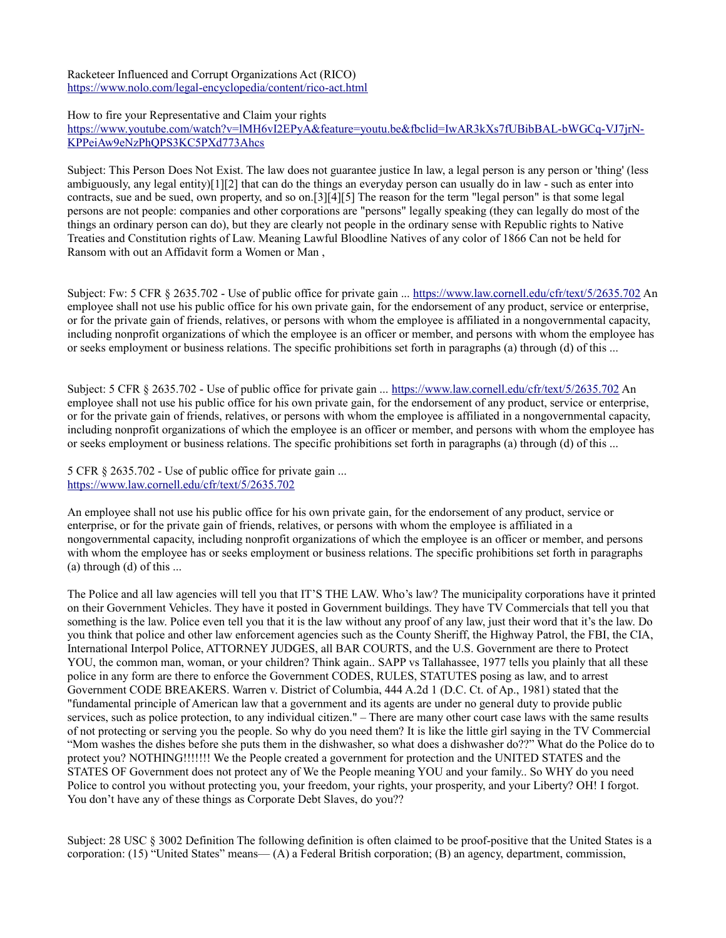Racketeer Influenced and Corrupt Organizations Act (RICO) <https://www.nolo.com/legal-encyclopedia/content/rico-act.html>

How to fire your Representative and Claim your rights [https://www.youtube.com/watch?v=lMH6vI2EPyA&feature=youtu.be&fbclid=IwAR3kXs7fUBibBAL-bWGCq-VJ7jrN-](https://www.youtube.com/watch?v=lMH6vI2EPyA&feature=youtu.be&fbclid=IwAR3kXs7fUBibBAL-bWGCq-VJ7jrN-KPPeiAw9eNzPhQPS3KC5PXd773Ahcs)[KPPeiAw9eNzPhQPS3KC5PXd773Ahcs](https://www.youtube.com/watch?v=lMH6vI2EPyA&feature=youtu.be&fbclid=IwAR3kXs7fUBibBAL-bWGCq-VJ7jrN-KPPeiAw9eNzPhQPS3KC5PXd773Ahcs)

Subject: This Person Does Not Exist. The law does not guarantee justice In law, a legal person is any person or 'thing' (less ambiguously, any legal entity)[1][2] that can do the things an everyday person can usually do in law - such as enter into contracts, sue and be sued, own property, and so on.[3][4][5] The reason for the term "legal person" is that some legal persons are not people: companies and other corporations are "persons" legally speaking (they can legally do most of the things an ordinary person can do), but they are clearly not people in the ordinary sense with Republic rights to Native Treaties and Constitution rights of Law. Meaning Lawful Bloodline Natives of any color of 1866 Can not be held for Ransom with out an Affidavit form a Women or Man ,

Subject: Fw: 5 CFR § 2635.702 - Use of public office for private gain ...<https://www.law.cornell.edu/cfr/text/5/2635.702>An employee shall not use his public office for his own private gain, for the endorsement of any product, service or enterprise, or for the private gain of friends, relatives, or persons with whom the employee is affiliated in a nongovernmental capacity, including nonprofit organizations of which the employee is an officer or member, and persons with whom the employee has or seeks employment or business relations. The specific prohibitions set forth in paragraphs (a) through (d) of this ...

Subject: 5 CFR § 2635.702 - Use of public office for private gain ...<https://www.law.cornell.edu/cfr/text/5/2635.702>An employee shall not use his public office for his own private gain, for the endorsement of any product, service or enterprise, or for the private gain of friends, relatives, or persons with whom the employee is affiliated in a nongovernmental capacity, including nonprofit organizations of which the employee is an officer or member, and persons with whom the employee has or seeks employment or business relations. The specific prohibitions set forth in paragraphs (a) through (d) of this ...

5 CFR § 2635.702 - Use of public office for private gain ... <https://www.law.cornell.edu/cfr/text/5/2635.702>

An employee shall not use his public office for his own private gain, for the endorsement of any product, service or enterprise, or for the private gain of friends, relatives, or persons with whom the employee is affiliated in a nongovernmental capacity, including nonprofit organizations of which the employee is an officer or member, and persons with whom the employee has or seeks employment or business relations. The specific prohibitions set forth in paragraphs (a) through (d) of this ...

The Police and all law agencies will tell you that IT'S THE LAW. Who's law? The municipality corporations have it printed on their Government Vehicles. They have it posted in Government buildings. They have TV Commercials that tell you that something is the law. Police even tell you that it is the law without any proof of any law, just their word that it's the law. Do you think that police and other law enforcement agencies such as the County Sheriff, the Highway Patrol, the FBI, the CIA, International Interpol Police, ATTORNEY JUDGES, all BAR COURTS, and the U.S. Government are there to Protect YOU, the common man, woman, or your children? Think again.. SAPP vs Tallahassee, 1977 tells you plainly that all these police in any form are there to enforce the Government CODES, RULES, STATUTES posing as law, and to arrest Government CODE BREAKERS. Warren v. District of Columbia, 444 A.2d 1 (D.C. Ct. of Ap., 1981) stated that the "fundamental principle of American law that a government and its agents are under no general duty to provide public services, such as police protection, to any individual citizen." – There are many other court case laws with the same results of not protecting or serving you the people. So why do you need them? It is like the little girl saying in the TV Commercial "Mom washes the dishes before she puts them in the dishwasher, so what does a dishwasher do??" What do the Police do to protect you? NOTHING!!!!!!! We the People created a government for protection and the UNITED STATES and the STATES OF Government does not protect any of We the People meaning YOU and your family.. So WHY do you need Police to control you without protecting you, your freedom, your rights, your prosperity, and your Liberty? OH! I forgot. You don't have any of these things as Corporate Debt Slaves, do you??

Subject: 28 USC § 3002 Definition The following definition is often claimed to be proof-positive that the United States is a corporation: (15) "United States" means— (A) a Federal British corporation; (B) an agency, department, commission,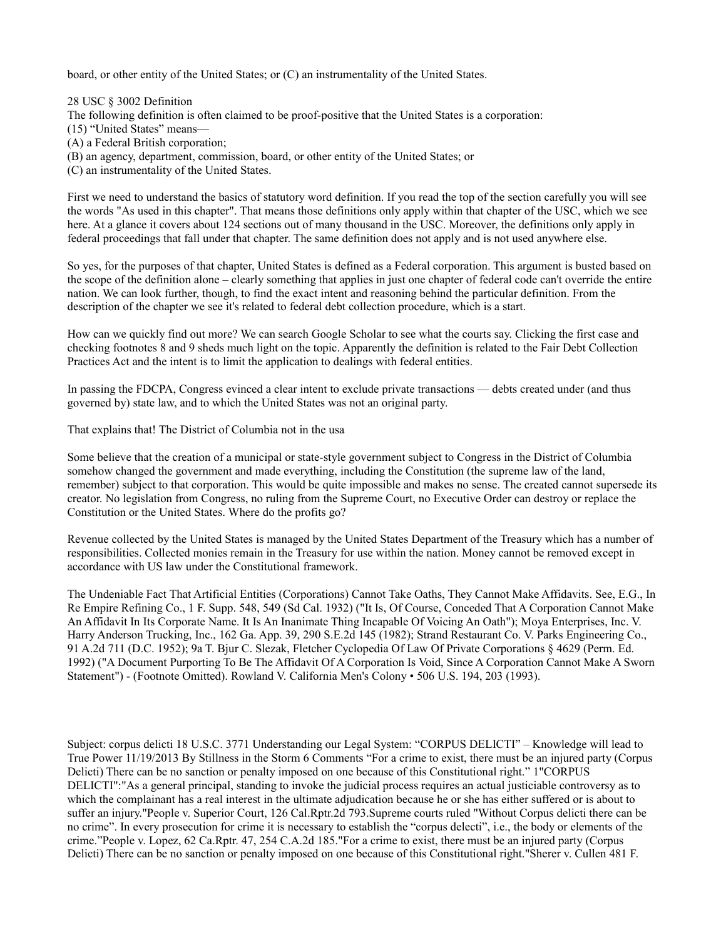board, or other entity of the United States; or (C) an instrumentality of the United States.

28 USC § 3002 Definition

The following definition is often claimed to be proof-positive that the United States is a corporation:

(15) "United States" means—

(A) a Federal British corporation;

(B) an agency, department, commission, board, or other entity of the United States; or

(C) an instrumentality of the United States.

First we need to understand the basics of statutory word definition. If you read the top of the section carefully you will see the words "As used in this chapter". That means those definitions only apply within that chapter of the USC, which we see here. At a glance it covers about 124 sections out of many thousand in the USC. Moreover, the definitions only apply in federal proceedings that fall under that chapter. The same definition does not apply and is not used anywhere else.

So yes, for the purposes of that chapter, United States is defined as a Federal corporation. This argument is busted based on the scope of the definition alone – clearly something that applies in just one chapter of federal code can't override the entire nation. We can look further, though, to find the exact intent and reasoning behind the particular definition. From the description of the chapter we see it's related to federal debt collection procedure, which is a start.

How can we quickly find out more? We can search Google Scholar to see what the courts say. Clicking the first case and checking footnotes 8 and 9 sheds much light on the topic. Apparently the definition is related to the Fair Debt Collection Practices Act and the intent is to limit the application to dealings with federal entities.

In passing the FDCPA, Congress evinced a clear intent to exclude private transactions — debts created under (and thus governed by) state law, and to which the United States was not an original party.

That explains that! The District of Columbia not in the usa

Some believe that the creation of a municipal or state-style government subject to Congress in the District of Columbia somehow changed the government and made everything, including the Constitution (the supreme law of the land, remember) subject to that corporation. This would be quite impossible and makes no sense. The created cannot supersede its creator. No legislation from Congress, no ruling from the Supreme Court, no Executive Order can destroy or replace the Constitution or the United States. Where do the profits go?

Revenue collected by the United States is managed by the United States Department of the Treasury which has a number of responsibilities. Collected monies remain in the Treasury for use within the nation. Money cannot be removed except in accordance with US law under the Constitutional framework.

The Undeniable Fact That Artificial Entities (Corporations) Cannot Take Oaths, They Cannot Make Affidavits. See, E.G., In Re Empire Refining Co., 1 F. Supp. 548, 549 (Sd Cal. 1932) ("It Is, Of Course, Conceded That A Corporation Cannot Make An Affidavit In Its Corporate Name. It Is An Inanimate Thing Incapable Of Voicing An Oath"); Moya Enterprises, Inc. V. Harry Anderson Trucking, Inc., 162 Ga. App. 39, 290 S.E.2d 145 (1982); Strand Restaurant Co. V. Parks Engineering Co., 91 A.2d 711 (D.C. 1952); 9a T. Bjur C. Slezak, Fletcher Cyclopedia Of Law Of Private Corporations § 4629 (Perm. Ed. 1992) ("A Document Purporting To Be The Affidavit Of A Corporation Is Void, Since A Corporation Cannot Make A Sworn Statement") - (Footnote Omitted). Rowland V. California Men's Colony • 506 U.S. 194, 203 (1993).

Subject: corpus delicti 18 U.S.C. 3771 Understanding our Legal System: "CORPUS DELICTI" – Knowledge will lead to True Power 11/19/2013 By Stillness in the Storm 6 Comments "For a crime to exist, there must be an injured party (Corpus Delicti) There can be no sanction or penalty imposed on one because of this Constitutional right." 1"CORPUS DELICTI":"As a general principal, standing to invoke the judicial process requires an actual justiciable controversy as to which the complainant has a real interest in the ultimate adjudication because he or she has either suffered or is about to suffer an injury."People v. Superior Court, 126 Cal.Rptr.2d 793.Supreme courts ruled "Without Corpus delicti there can be no crime". In every prosecution for crime it is necessary to establish the "corpus delecti", i.e., the body or elements of the crime."People v. Lopez, 62 Ca.Rptr. 47, 254 C.A.2d 185."For a crime to exist, there must be an injured party (Corpus Delicti) There can be no sanction or penalty imposed on one because of this Constitutional right."Sherer v. Cullen 481 F.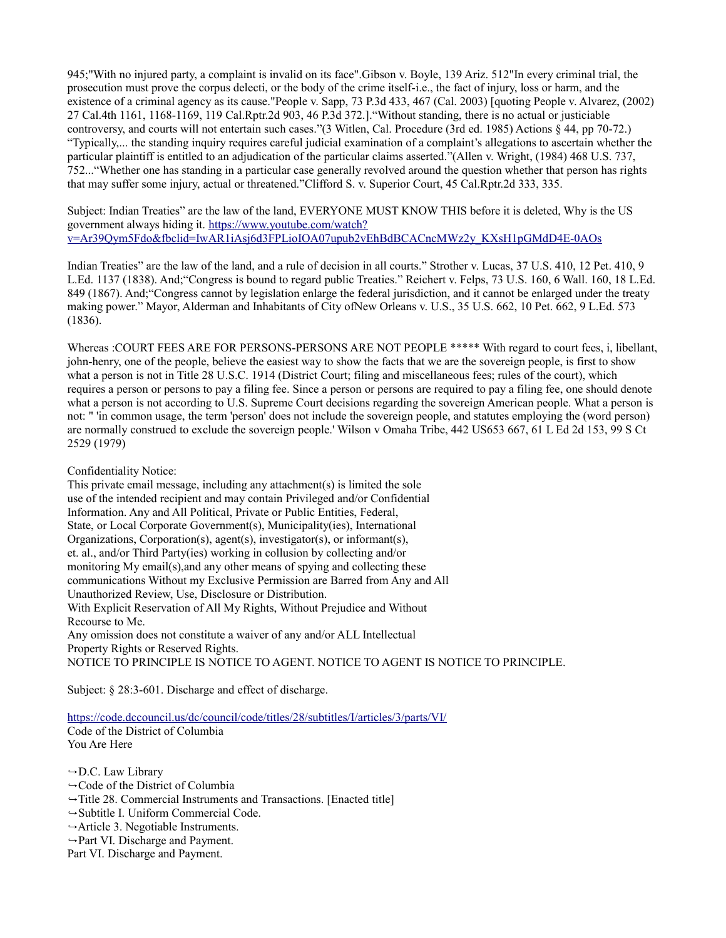945;"With no injured party, a complaint is invalid on its face".Gibson v. Boyle, 139 Ariz. 512"In every criminal trial, the prosecution must prove the corpus delecti, or the body of the crime itself-i.e., the fact of injury, loss or harm, and the existence of a criminal agency as its cause."People v. Sapp, 73 P.3d 433, 467 (Cal. 2003) [quoting People v. Alvarez, (2002) 27 Cal.4th 1161, 1168-1169, 119 Cal.Rptr.2d 903, 46 P.3d 372.]."Without standing, there is no actual or justiciable controversy, and courts will not entertain such cases."(3 Witlen, Cal. Procedure (3rd ed. 1985) Actions § 44, pp 70-72.) "Typically,... the standing inquiry requires careful judicial examination of a complaint's allegations to ascertain whether the particular plaintiff is entitled to an adjudication of the particular claims asserted."(Allen v. Wright, (1984) 468 U.S. 737, 752..."Whether one has standing in a particular case generally revolved around the question whether that person has rights that may suffer some injury, actual or threatened."Clifford S. v. Superior Court, 45 Cal.Rptr.2d 333, 335.

Subject: Indian Treaties" are the law of the land, EVERYONE MUST KNOW THIS before it is deleted, Why is the US government always hiding it. [https://www.youtube.com/watch?](https://www.youtube.com/watch?v=Ar39Qym5Fdo&fbclid=IwAR1iAsj6d3FPLioIOA07upub2vEhBdBCACncMWz2y_KXsH1pGMdD4E-0AOs) [v=Ar39Qym5Fdo&fbclid=IwAR1iAsj6d3FPLioIOA07upub2vEhBdBCACncMWz2y\\_KXsH1pGMdD4E-0AOs](https://www.youtube.com/watch?v=Ar39Qym5Fdo&fbclid=IwAR1iAsj6d3FPLioIOA07upub2vEhBdBCACncMWz2y_KXsH1pGMdD4E-0AOs)

Indian Treaties" are the law of the land, and a rule of decision in all courts." Strother v. Lucas, 37 U.S. 410, 12 Pet. 410, 9 L.Ed. 1137 (1838). And;"Congress is bound to regard public Treaties." Reichert v. Felps, 73 U.S. 160, 6 Wall. 160, 18 L.Ed. 849 (1867). And;"Congress cannot by legislation enlarge the federal jurisdiction, and it cannot be enlarged under the treaty making power." Mayor, Alderman and Inhabitants of City ofNew Orleans v. U.S., 35 U.S. 662, 10 Pet. 662, 9 L.Ed. 573 (1836).

Whereas :COURT FEES ARE FOR PERSONS-PERSONS ARE NOT PEOPLE \*\*\*\*\* With regard to court fees, i, libellant, john-henry, one of the people, believe the easiest way to show the facts that we are the sovereign people, is first to show what a person is not in Title 28 U.S.C. 1914 (District Court; filing and miscellaneous fees; rules of the court), which requires a person or persons to pay a filing fee. Since a person or persons are required to pay a filing fee, one should denote what a person is not according to U.S. Supreme Court decisions regarding the sovereign American people. What a person is not: " 'in common usage, the term 'person' does not include the sovereign people, and statutes employing the (word person) are normally construed to exclude the sovereign people.' Wilson v Omaha Tribe, 442 US653 667, 61 L Ed 2d 153, 99 S Ct 2529 (1979)

## Confidentiality Notice:

This private email message, including any attachment(s) is limited the sole use of the intended recipient and may contain Privileged and/or Confidential Information. Any and All Political, Private or Public Entities, Federal, State, or Local Corporate Government(s), Municipality(ies), International Organizations, Corporation(s), agent(s), investigator(s), or informant(s), et. al., and/or Third Party(ies) working in collusion by collecting and/or monitoring My email(s),and any other means of spying and collecting these communications Without my Exclusive Permission are Barred from Any and All Unauthorized Review, Use, Disclosure or Distribution. With Explicit Reservation of All My Rights, Without Prejudice and Without Recourse to Me. Any omission does not constitute a waiver of any and/or ALL Intellectual Property Rights or Reserved Rights. NOTICE TO PRINCIPLE IS NOTICE TO AGENT. NOTICE TO AGENT IS NOTICE TO PRINCIPLE.

Subject: § 28:3-601. Discharge and effect of discharge.

## <https://code.dccouncil.us/dc/council/code/titles/28/subtitles/I/articles/3/parts/VI/>

Code of the District of Columbia You Are Here

 $\rightarrow$  D.C. Law Library ↪ Code of the District of Columbia  $\rightarrow$  Title 28. Commercial Instruments and Transactions. [Enacted title] ↪ Subtitle I. Uniform Commercial Code. ↪ Article 3. Negotiable Instruments. ↪ Part VI. Discharge and Payment. Part VI. Discharge and Payment.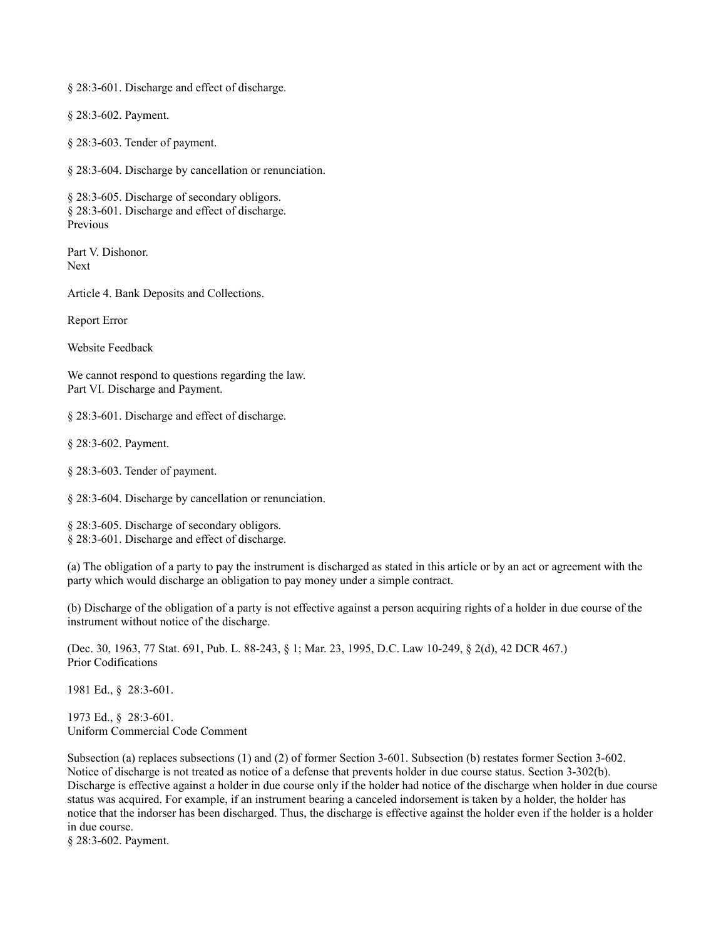§ 28:3-601. Discharge and effect of discharge.

§ 28:3-602. Payment.

§ 28:3-603. Tender of payment.

§ 28:3-604. Discharge by cancellation or renunciation.

§ 28:3-605. Discharge of secondary obligors. § 28:3-601. Discharge and effect of discharge. Previous

Part V. Dishonor. Next

Article 4. Bank Deposits and Collections.

Report Error

Website Feedback

We cannot respond to questions regarding the law. Part VI. Discharge and Payment.

§ 28:3-601. Discharge and effect of discharge.

§ 28:3-602. Payment.

§ 28:3-603. Tender of payment.

§ 28:3-604. Discharge by cancellation or renunciation.

§ 28:3-605. Discharge of secondary obligors.

§ 28:3-601. Discharge and effect of discharge.

(a) The obligation of a party to pay the instrument is discharged as stated in this article or by an act or agreement with the party which would discharge an obligation to pay money under a simple contract.

(b) Discharge of the obligation of a party is not effective against a person acquiring rights of a holder in due course of the instrument without notice of the discharge.

(Dec. 30, 1963, 77 Stat. 691, Pub. L. 88-243, § 1; Mar. 23, 1995, D.C. Law 10-249, § 2(d), 42 DCR 467.) Prior Codifications

1981 Ed., § 28:3-601.

1973 Ed., § 28:3-601. Uniform Commercial Code Comment

Subsection (a) replaces subsections (1) and (2) of former Section 3-601. Subsection (b) restates former Section 3-602. Notice of discharge is not treated as notice of a defense that prevents holder in due course status. Section 3-302(b). Discharge is effective against a holder in due course only if the holder had notice of the discharge when holder in due course status was acquired. For example, if an instrument bearing a canceled indorsement is taken by a holder, the holder has notice that the indorser has been discharged. Thus, the discharge is effective against the holder even if the holder is a holder in due course.

§ 28:3-602. Payment.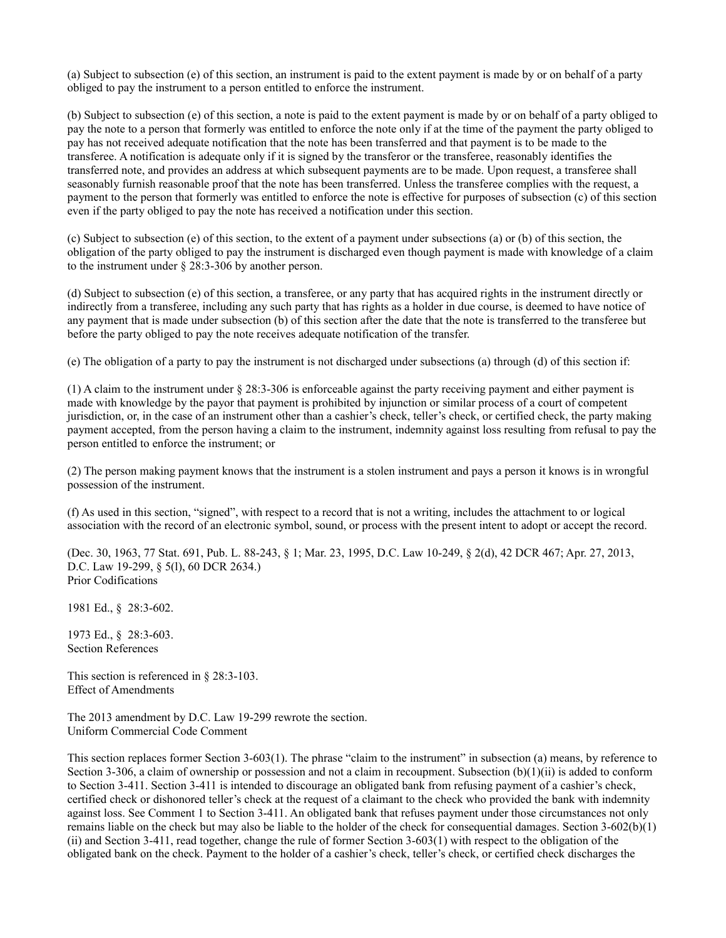(a) Subject to subsection (e) of this section, an instrument is paid to the extent payment is made by or on behalf of a party obliged to pay the instrument to a person entitled to enforce the instrument.

(b) Subject to subsection (e) of this section, a note is paid to the extent payment is made by or on behalf of a party obliged to pay the note to a person that formerly was entitled to enforce the note only if at the time of the payment the party obliged to pay has not received adequate notification that the note has been transferred and that payment is to be made to the transferee. A notification is adequate only if it is signed by the transferor or the transferee, reasonably identifies the transferred note, and provides an address at which subsequent payments are to be made. Upon request, a transferee shall seasonably furnish reasonable proof that the note has been transferred. Unless the transferee complies with the request, a payment to the person that formerly was entitled to enforce the note is effective for purposes of subsection (c) of this section even if the party obliged to pay the note has received a notification under this section.

(c) Subject to subsection (e) of this section, to the extent of a payment under subsections (a) or (b) of this section, the obligation of the party obliged to pay the instrument is discharged even though payment is made with knowledge of a claim to the instrument under § 28:3-306 by another person.

(d) Subject to subsection (e) of this section, a transferee, or any party that has acquired rights in the instrument directly or indirectly from a transferee, including any such party that has rights as a holder in due course, is deemed to have notice of any payment that is made under subsection (b) of this section after the date that the note is transferred to the transferee but before the party obliged to pay the note receives adequate notification of the transfer.

(e) The obligation of a party to pay the instrument is not discharged under subsections (a) through (d) of this section if:

(1) A claim to the instrument under § 28:3-306 is enforceable against the party receiving payment and either payment is made with knowledge by the payor that payment is prohibited by injunction or similar process of a court of competent jurisdiction, or, in the case of an instrument other than a cashier's check, teller's check, or certified check, the party making payment accepted, from the person having a claim to the instrument, indemnity against loss resulting from refusal to pay the person entitled to enforce the instrument; or

(2) The person making payment knows that the instrument is a stolen instrument and pays a person it knows is in wrongful possession of the instrument.

(f) As used in this section, "signed", with respect to a record that is not a writing, includes the attachment to or logical association with the record of an electronic symbol, sound, or process with the present intent to adopt or accept the record.

(Dec. 30, 1963, 77 Stat. 691, Pub. L. 88-243, § 1; Mar. 23, 1995, D.C. Law 10-249, § 2(d), 42 DCR 467; Apr. 27, 2013, D.C. Law 19-299, § 5(l), 60 DCR 2634.) Prior Codifications

1981 Ed., § 28:3-602.

1973 Ed., § 28:3-603. Section References

This section is referenced in § 28:3-103. Effect of Amendments

The 2013 amendment by D.C. Law 19-299 rewrote the section. Uniform Commercial Code Comment

This section replaces former Section 3-603(1). The phrase "claim to the instrument" in subsection (a) means, by reference to Section 3-306, a claim of ownership or possession and not a claim in recoupment. Subsection (b)(1)(ii) is added to conform to Section 3-411. Section 3-411 is intended to discourage an obligated bank from refusing payment of a cashier's check, certified check or dishonored teller's check at the request of a claimant to the check who provided the bank with indemnity against loss. See Comment 1 to Section 3-411. An obligated bank that refuses payment under those circumstances not only remains liable on the check but may also be liable to the holder of the check for consequential damages. Section 3-602(b)(1) (ii) and Section 3-411, read together, change the rule of former Section 3-603(1) with respect to the obligation of the obligated bank on the check. Payment to the holder of a cashier's check, teller's check, or certified check discharges the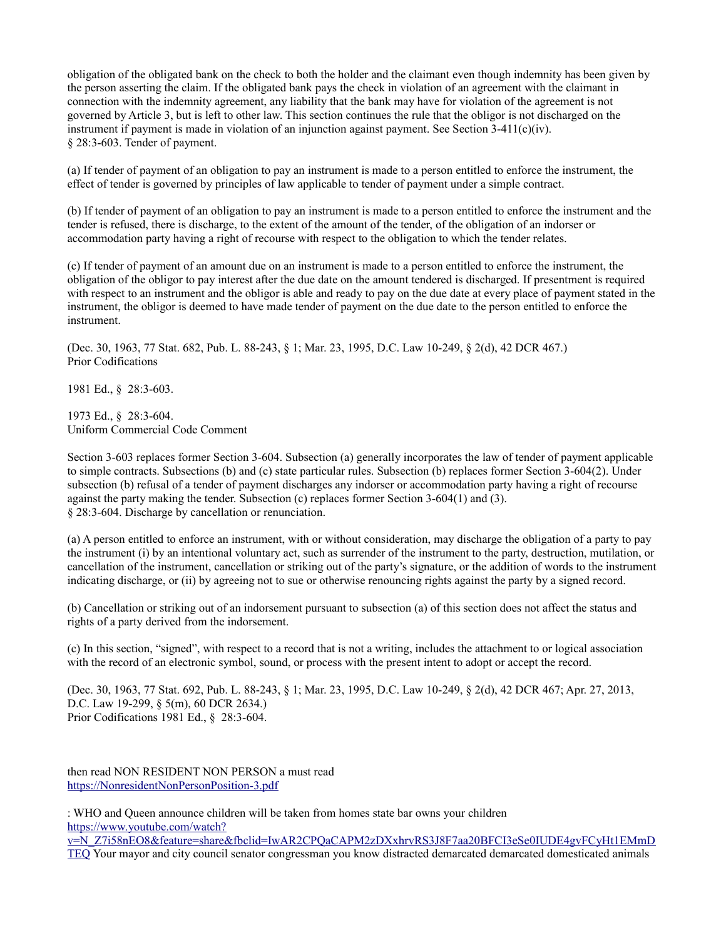obligation of the obligated bank on the check to both the holder and the claimant even though indemnity has been given by the person asserting the claim. If the obligated bank pays the check in violation of an agreement with the claimant in connection with the indemnity agreement, any liability that the bank may have for violation of the agreement is not governed by Article 3, but is left to other law. This section continues the rule that the obligor is not discharged on the instrument if payment is made in violation of an injunction against payment. See Section  $3-411(c)(iv)$ . § 28:3-603. Tender of payment.

(a) If tender of payment of an obligation to pay an instrument is made to a person entitled to enforce the instrument, the effect of tender is governed by principles of law applicable to tender of payment under a simple contract.

(b) If tender of payment of an obligation to pay an instrument is made to a person entitled to enforce the instrument and the tender is refused, there is discharge, to the extent of the amount of the tender, of the obligation of an indorser or accommodation party having a right of recourse with respect to the obligation to which the tender relates.

(c) If tender of payment of an amount due on an instrument is made to a person entitled to enforce the instrument, the obligation of the obligor to pay interest after the due date on the amount tendered is discharged. If presentment is required with respect to an instrument and the obligor is able and ready to pay on the due date at every place of payment stated in the instrument, the obligor is deemed to have made tender of payment on the due date to the person entitled to enforce the instrument.

(Dec. 30, 1963, 77 Stat. 682, Pub. L. 88-243, § 1; Mar. 23, 1995, D.C. Law 10-249, § 2(d), 42 DCR 467.) Prior Codifications

1981 Ed., § 28:3-603.

1973 Ed., § 28:3-604. Uniform Commercial Code Comment

Section 3-603 replaces former Section 3-604. Subsection (a) generally incorporates the law of tender of payment applicable to simple contracts. Subsections (b) and (c) state particular rules. Subsection (b) replaces former Section 3-604(2). Under subsection (b) refusal of a tender of payment discharges any indorser or accommodation party having a right of recourse against the party making the tender. Subsection (c) replaces former Section 3-604(1) and (3). § 28:3-604. Discharge by cancellation or renunciation.

(a) A person entitled to enforce an instrument, with or without consideration, may discharge the obligation of a party to pay the instrument (i) by an intentional voluntary act, such as surrender of the instrument to the party, destruction, mutilation, or cancellation of the instrument, cancellation or striking out of the party's signature, or the addition of words to the instrument indicating discharge, or (ii) by agreeing not to sue or otherwise renouncing rights against the party by a signed record.

(b) Cancellation or striking out of an indorsement pursuant to subsection (a) of this section does not affect the status and rights of a party derived from the indorsement.

(c) In this section, "signed", with respect to a record that is not a writing, includes the attachment to or logical association with the record of an electronic symbol, sound, or process with the present intent to adopt or accept the record.

(Dec. 30, 1963, 77 Stat. 692, Pub. L. 88-243, § 1; Mar. 23, 1995, D.C. Law 10-249, § 2(d), 42 DCR 467; Apr. 27, 2013, D.C. Law 19-299, § 5(m), 60 DCR 2634.) Prior Codifications 1981 Ed., § 28:3-604.

then read NON RESIDENT NON PERSON a must read [https://NonresidentNonPersonPosition-3.pdf](https://NonresidentNonPersonPosition-3.pdf/)

: WHO and Queen announce children will be taken from homes state bar owns your children [https://www.youtube.com/watch?](https://www.youtube.com/watch?v=N_Z7i58nEO8&feature=share&fbclid=IwAR2CPQaCAPM2zDXxhrvRS3J8F7aa20BFCI3eSe0IUDE4gvFCyHt1EMmDTEQ)

[v=N\\_Z7i58nEO8&feature=share&fbclid=IwAR2CPQaCAPM2zDXxhrvRS3J8F7aa20BFCI3eSe0IUDE4gvFCyHt1EMmD](https://www.youtube.com/watch?v=N_Z7i58nEO8&feature=share&fbclid=IwAR2CPQaCAPM2zDXxhrvRS3J8F7aa20BFCI3eSe0IUDE4gvFCyHt1EMmDTEQ) [TEQ](https://www.youtube.com/watch?v=N_Z7i58nEO8&feature=share&fbclid=IwAR2CPQaCAPM2zDXxhrvRS3J8F7aa20BFCI3eSe0IUDE4gvFCyHt1EMmDTEQ) Your mayor and city council senator congressman you know distracted demarcated demarcated domesticated animals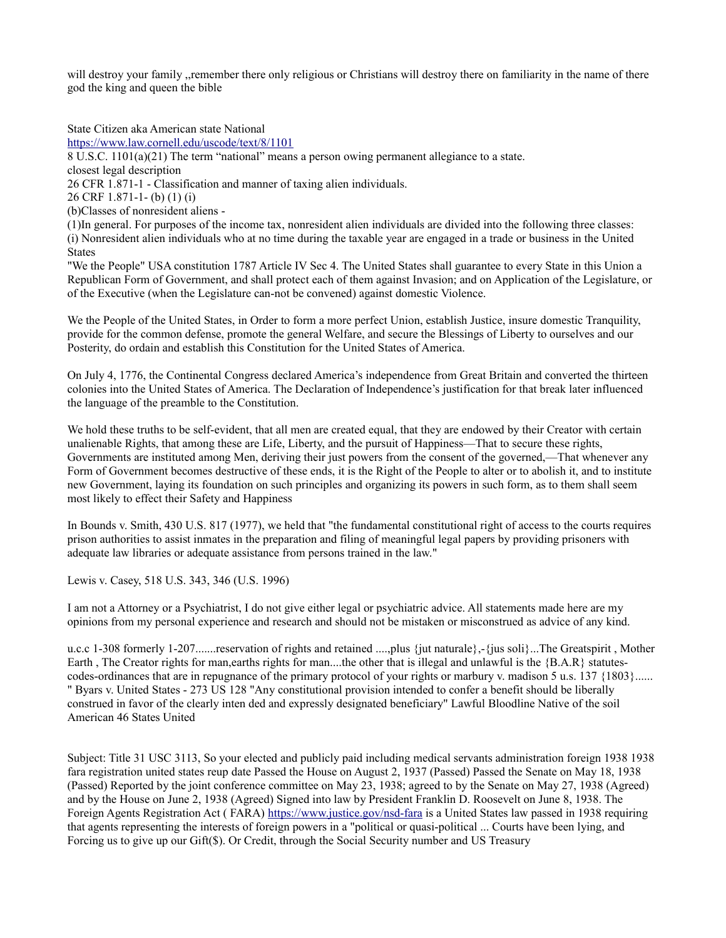will destroy your family, remember there only religious or Christians will destroy there on familiarity in the name of there god the king and queen the bible

State Citizen aka American state National <https://www.law.cornell.edu/uscode/text/8/1101>

8 U.S.C. 1101(a)(21) The term "national" means a person owing permanent allegiance to a state.

closest legal description

26 CFR 1.871-1 - Classification and manner of taxing alien individuals.

26 CRF 1.871-1- (b) (1) (i)

(b)Classes of nonresident aliens -

(1)In general. For purposes of the income tax, nonresident alien individuals are divided into the following three classes: (i) Nonresident alien individuals who at no time during the taxable year are engaged in a trade or business in the United **States** 

"We the People" USA constitution 1787 Article IV Sec 4. The United States shall guarantee to every State in this Union a Republican Form of Government, and shall protect each of them against Invasion; and on Application of the Legislature, or of the Executive (when the Legislature can-not be convened) against domestic Violence.

We the People of the United States, in Order to form a more perfect Union, establish Justice, insure domestic Tranquility, provide for the common defense, promote the general Welfare, and secure the Blessings of Liberty to ourselves and our Posterity, do ordain and establish this Constitution for the United States of America.

On July 4, 1776, the Continental Congress declared America's independence from Great Britain and converted the thirteen colonies into the United States of America. The Declaration of Independence's justification for that break later influenced the language of the preamble to the Constitution.

We hold these truths to be self-evident, that all men are created equal, that they are endowed by their Creator with certain unalienable Rights, that among these are Life, Liberty, and the pursuit of Happiness—That to secure these rights, Governments are instituted among Men, deriving their just powers from the consent of the governed,—That whenever any Form of Government becomes destructive of these ends, it is the Right of the People to alter or to abolish it, and to institute new Government, laying its foundation on such principles and organizing its powers in such form, as to them shall seem most likely to effect their Safety and Happiness

In Bounds v. Smith, 430 U.S. 817 (1977), we held that "the fundamental constitutional right of access to the courts requires prison authorities to assist inmates in the preparation and filing of meaningful legal papers by providing prisoners with adequate law libraries or adequate assistance from persons trained in the law."

Lewis v. Casey, 518 U.S. 343, 346 (U.S. 1996)

I am not a Attorney or a Psychiatrist, I do not give either legal or psychiatric advice. All statements made here are my opinions from my personal experience and research and should not be mistaken or misconstrued as advice of any kind.

u.c.c 1-308 formerly 1-207.......reservation of rights and retained ....,plus {jut naturale},-{jus soli}...The Greatspirit , Mother Earth , The Creator rights for man,earths rights for man....the other that is illegal and unlawful is the {B.A.R} statutescodes-ordinances that are in repugnance of the primary protocol of your rights or marbury v. madison 5 u.s. 137 {1803}...... " Byars v. United States - 273 US 128 "Any constitutional provision intended to confer a benefit should be liberally construed in favor of the clearly inten ded and expressly designated beneficiary" Lawful Bloodline Native of the soil American 46 States United

Subject: Title 31 USC 3113, So your elected and publicly paid including medical servants administration foreign 1938 1938 fara registration united states reup date Passed the House on August 2, 1937 (Passed) Passed the Senate on May 18, 1938 (Passed) Reported by the joint conference committee on May 23, 1938; agreed to by the Senate on May 27, 1938 (Agreed) and by the House on June 2, 1938 (Agreed) Signed into law by President Franklin D. Roosevelt on June 8, 1938. The Foreign Agents Registration Act ( FARA)<https://www.justice.gov/nsd-fara>is a United States law passed in 1938 requiring that agents representing the interests of foreign powers in a "political or quasi-political ... Courts have been lying, and Forcing us to give up our Gift(\$). Or Credit, through the Social Security number and US Treasury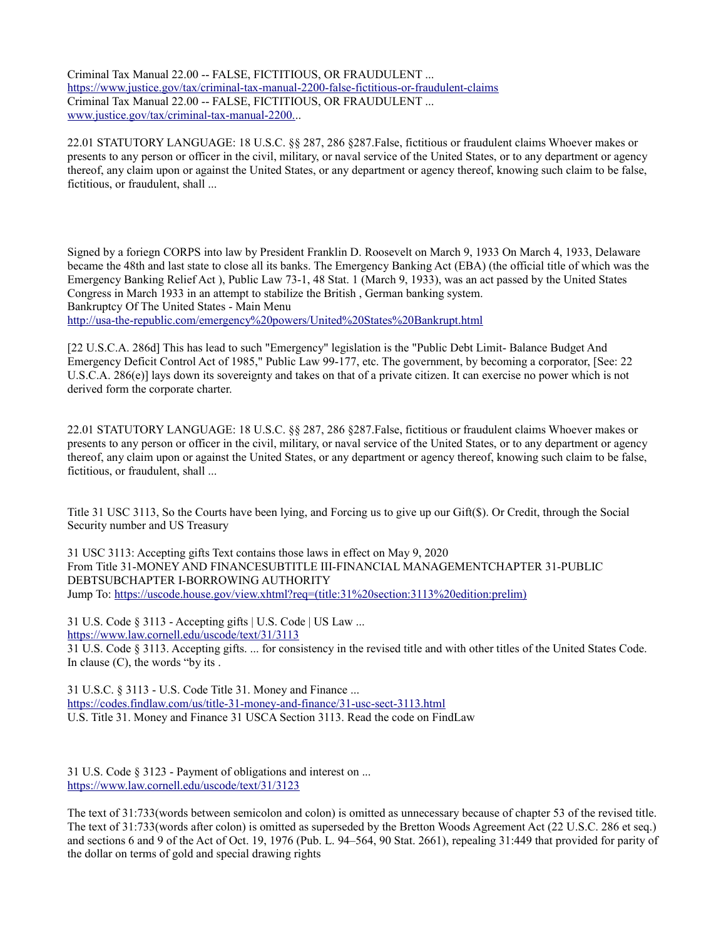Criminal Tax Manual 22.00 -- FALSE, FICTITIOUS, OR FRAUDULENT ... <https://www.justice.gov/tax/criminal-tax-manual-2200-false-fictitious-or-fraudulent-claims> Criminal Tax Manual 22.00 -- FALSE, FICTITIOUS, OR FRAUDULENT ... [www.justice.gov/tax/criminal-tax-manual-2200..](http://www.justice.gov/tax/criminal-tax-manual-2200.).

22.01 STATUTORY LANGUAGE: 18 U.S.C. §§ 287, 286 §287.False, fictitious or fraudulent claims Whoever makes or presents to any person or officer in the civil, military, or naval service of the United States, or to any department or agency thereof, any claim upon or against the United States, or any department or agency thereof, knowing such claim to be false, fictitious, or fraudulent, shall ...

Signed by a foriegn CORPS into law by President Franklin D. Roosevelt on March 9, 1933 On March 4, 1933, Delaware became the 48th and last state to close all its banks. The Emergency Banking Act (EBA) (the official title of which was the Emergency Banking Relief Act ), Public Law 73-1, 48 Stat. 1 (March 9, 1933), was an act passed by the United States Congress in March 1933 in an attempt to stabilize the British , German banking system. Bankruptcy Of The United States - Main Menu <http://usa-the-republic.com/emergency%20powers/United%20States%20Bankrupt.html>

[22 U.S.C.A. 286d] This has lead to such "Emergency" legislation is the "Public Debt Limit- Balance Budget And Emergency Deficit Control Act of 1985," Public Law 99-177, etc. The government, by becoming a corporator, [See: 22 U.S.C.A. 286(e)] lays down its sovereignty and takes on that of a private citizen. It can exercise no power which is not derived form the corporate charter.

22.01 STATUTORY LANGUAGE: 18 U.S.C. §§ 287, 286 §287.False, fictitious or fraudulent claims Whoever makes or presents to any person or officer in the civil, military, or naval service of the United States, or to any department or agency thereof, any claim upon or against the United States, or any department or agency thereof, knowing such claim to be false, fictitious, or fraudulent, shall ...

Title 31 USC 3113, So the Courts have been lying, and Forcing us to give up our Gift(\$). Or Credit, through the Social Security number and US Treasury

31 USC 3113: Accepting gifts Text contains those laws in effect on May 9, 2020 From Title 31-MONEY AND FINANCESUBTITLE III-FINANCIAL MANAGEMENTCHAPTER 31-PUBLIC DEBTSUBCHAPTER I-BORROWING AUTHORITY Jump To: [https://uscode.house.gov/view.xhtml?req=\(title:31%20section:3113%20edition:prelim\)](https://uscode.house.gov/view.xhtml?req=(title:31%20section:3113%20edition:prelim))

31 U.S. Code § 3113 - Accepting gifts | U.S. Code | US Law ... <https://www.law.cornell.edu/uscode/text/31/3113>

31 U.S. Code § 3113. Accepting gifts. ... for consistency in the revised title and with other titles of the United States Code. In clause (C), the words "by its .

31 U.S.C. § 3113 - U.S. Code Title 31. Money and Finance ... <https://codes.findlaw.com/us/title-31-money-and-finance/31-usc-sect-3113.html> U.S. Title 31. Money and Finance 31 USCA Section 3113. Read the code on FindLaw

31 U.S. Code § 3123 - Payment of obligations and interest on ... <https://www.law.cornell.edu/uscode/text/31/3123>

The text of 31:733(words between semicolon and colon) is omitted as unnecessary because of chapter 53 of the revised title. The text of 31:733(words after colon) is omitted as superseded by the Bretton Woods Agreement Act (22 U.S.C. 286 et seq.) and sections 6 and 9 of the Act of Oct. 19, 1976 (Pub. L. 94–564, 90 Stat. 2661), repealing 31:449 that provided for parity of the dollar on terms of gold and special drawing rights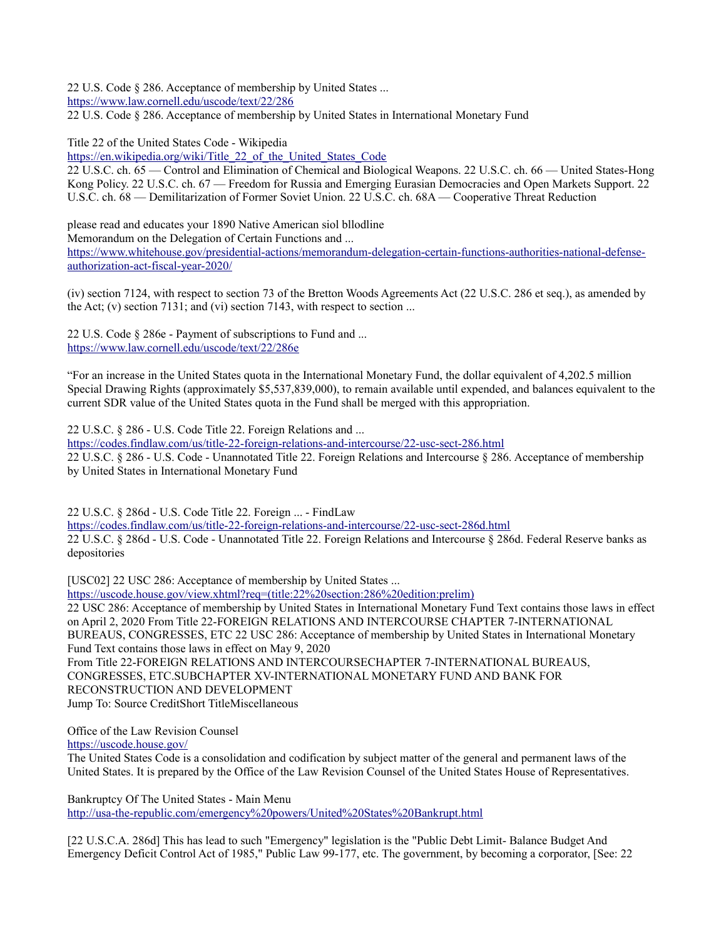22 U.S. Code § 286. Acceptance of membership by United States ... <https://www.law.cornell.edu/uscode/text/22/286> 22 U.S. Code § 286. Acceptance of membership by United States in International Monetary Fund

Title 22 of the United States Code - Wikipedia

[https://en.wikipedia.org/wiki/Title\\_22\\_of\\_the\\_United\\_States\\_Code](https://en.wikipedia.org/wiki/Title_22_of_the_United_States_Code)

22 U.S.C. ch. 65 — Control and Elimination of Chemical and Biological Weapons. 22 U.S.C. ch. 66 — United States-Hong Kong Policy. 22 U.S.C. ch. 67 — Freedom for Russia and Emerging Eurasian Democracies and Open Markets Support. 22 U.S.C. ch. 68 — Demilitarization of Former Soviet Union. 22 U.S.C. ch. 68A — Cooperative Threat Reduction

please read and educates your 1890 Native American siol bllodline

Memorandum on the Delegation of Certain Functions and ...

[https://www.whitehouse.gov/presidential-actions/memorandum-delegation-certain-functions-authorities-national-defense](https://www.whitehouse.gov/presidential-actions/memorandum-delegation-certain-functions-authorities-national-defense-authorization-act-fiscal-year-2020/)[authorization-act-fiscal-year-2020/](https://www.whitehouse.gov/presidential-actions/memorandum-delegation-certain-functions-authorities-national-defense-authorization-act-fiscal-year-2020/)

(iv) section 7124, with respect to section 73 of the Bretton Woods Agreements Act (22 U.S.C. 286 et seq.), as amended by the Act; (v) section 7131; and (vi) section 7143, with respect to section ...

22 U.S. Code § 286e - Payment of subscriptions to Fund and ... <https://www.law.cornell.edu/uscode/text/22/286e>

"For an increase in the United States quota in the International Monetary Fund, the dollar equivalent of 4,202.5 million Special Drawing Rights (approximately \$5,537,839,000), to remain available until expended, and balances equivalent to the current SDR value of the United States quota in the Fund shall be merged with this appropriation.

22 U.S.C. § 286 - U.S. Code Title 22. Foreign Relations and ... <https://codes.findlaw.com/us/title-22-foreign-relations-and-intercourse/22-usc-sect-286.html>

22 U.S.C. § 286 - U.S. Code - Unannotated Title 22. Foreign Relations and Intercourse § 286. Acceptance of membership by United States in International Monetary Fund

22 U.S.C. § 286d - U.S. Code Title 22. Foreign ... - FindLaw <https://codes.findlaw.com/us/title-22-foreign-relations-and-intercourse/22-usc-sect-286d.html> 22 U.S.C. § 286d - U.S. Code - Unannotated Title 22. Foreign Relations and Intercourse § 286d. Federal Reserve banks as depositories

[USC02] 22 USC 286: Acceptance of membership by United States ...

[https://uscode.house.gov/view.xhtml?req=\(title:22%20section:286%20edition:prelim\)](https://uscode.house.gov/view.xhtml?req=(title:22%20section:286%20edition:prelim))

22 USC 286: Acceptance of membership by United States in International Monetary Fund Text contains those laws in effect on April 2, 2020 From Title 22-FOREIGN RELATIONS AND INTERCOURSE CHAPTER 7-INTERNATIONAL BUREAUS, CONGRESSES, ETC 22 USC 286: Acceptance of membership by United States in International Monetary Fund Text contains those laws in effect on May 9, 2020 From Title 22-FOREIGN RELATIONS AND INTERCOURSECHAPTER 7-INTERNATIONAL BUREAUS,

CONGRESSES, ETC.SUBCHAPTER XV-INTERNATIONAL MONETARY FUND AND BANK FOR RECONSTRUCTION AND DEVELOPMENT Jump To: Source CreditShort TitleMiscellaneous

Office of the Law Revision Counsel

<https://uscode.house.gov/>

The United States Code is a consolidation and codification by subject matter of the general and permanent laws of the United States. It is prepared by the Office of the Law Revision Counsel of the United States House of Representatives.

Bankruptcy Of The United States - Main Menu <http://usa-the-republic.com/emergency%20powers/United%20States%20Bankrupt.html>

[22 U.S.C.A. 286d] This has lead to such "Emergency" legislation is the "Public Debt Limit- Balance Budget And Emergency Deficit Control Act of 1985," Public Law 99-177, etc. The government, by becoming a corporator, [See: 22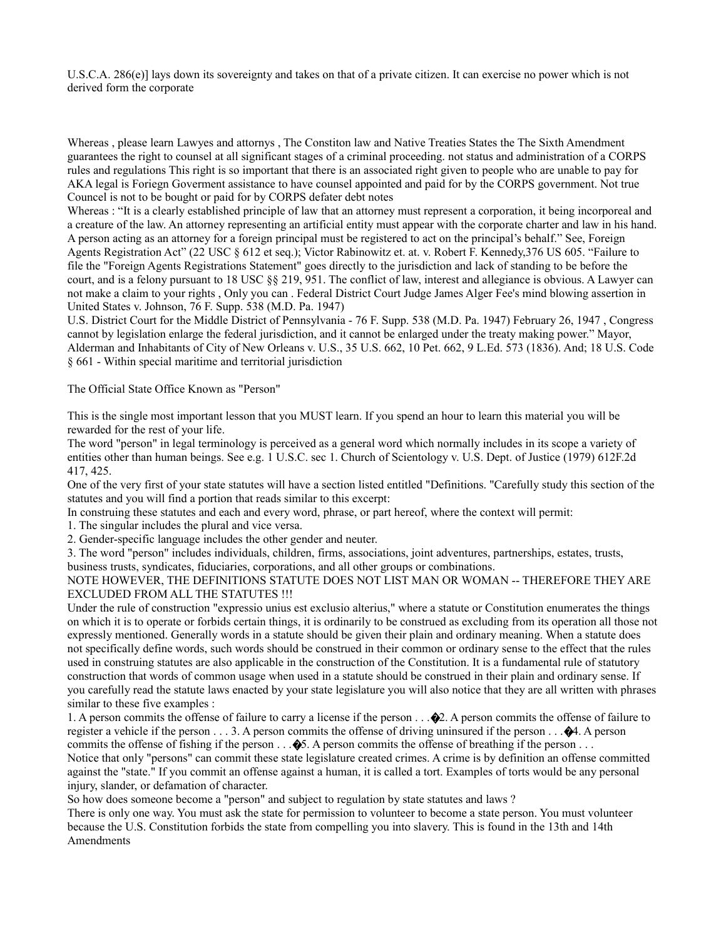U.S.C.A. 286(e)] lays down its sovereignty and takes on that of a private citizen. It can exercise no power which is not derived form the corporate

Whereas , please learn Lawyes and attornys , The Constiton law and Native Treaties States the The Sixth Amendment guarantees the right to counsel at all significant stages of a criminal proceeding. not status and administration of a CORPS rules and regulations This right is so important that there is an associated right given to people who are unable to pay for AKA legal is Foriegn Goverment assistance to have counsel appointed and paid for by the CORPS government. Not true Councel is not to be bought or paid for by CORPS defater debt notes

Whereas : "It is a clearly established principle of law that an attorney must represent a corporation, it being incorporeal and a creature of the law. An attorney representing an artificial entity must appear with the corporate charter and law in his hand. A person acting as an attorney for a foreign principal must be registered to act on the principal's behalf." See, Foreign Agents Registration Act" (22 USC § 612 et seq.); Victor Rabinowitz et. at. v. Robert F. Kennedy,376 US 605. "Failure to file the "Foreign Agents Registrations Statement" goes directly to the jurisdiction and lack of standing to be before the court, and is a felony pursuant to 18 USC §§ 219, 951. The conflict of law, interest and allegiance is obvious. A Lawyer can not make a claim to your rights , Only you can . Federal District Court Judge James Alger Fee's mind blowing assertion in United States v. Johnson, 76 F. Supp. 538 (M.D. Pa. 1947)

U.S. District Court for the Middle District of Pennsylvania - 76 F. Supp. 538 (M.D. Pa. 1947) February 26, 1947 , Congress cannot by legislation enlarge the federal jurisdiction, and it cannot be enlarged under the treaty making power." Mayor, Alderman and Inhabitants of City of New Orleans v. U.S., 35 U.S. 662, 10 Pet. 662, 9 L.Ed. 573 (1836). And; 18 U.S. Code § 661 - Within special maritime and territorial jurisdiction

The Official State Office Known as "Person"

This is the single most important lesson that you MUST learn. If you spend an hour to learn this material you will be rewarded for the rest of your life.

The word "person" in legal terminology is perceived as a general word which normally includes in its scope a variety of entities other than human beings. See e.g. 1 U.S.C. sec 1. Church of Scientology v. U.S. Dept. of Justice (1979) 612F.2d 417, 425.

One of the very first of your state statutes will have a section listed entitled "Definitions. "Carefully study this section of the statutes and you will find a portion that reads similar to this excerpt:

In construing these statutes and each and every word, phrase, or part hereof, where the context will permit:

1. The singular includes the plural and vice versa.

2. Gender-specific language includes the other gender and neuter.

3. The word "person" includes individuals, children, firms, associations, joint adventures, partnerships, estates, trusts, business trusts, syndicates, fiduciaries, corporations, and all other groups or combinations.

NOTE HOWEVER, THE DEFINITIONS STATUTE DOES NOT LIST MAN OR WOMAN -- THEREFORE THEY ARE EXCLUDED FROM ALL THE STATUTES !!!

Under the rule of construction "expressio unius est exclusio alterius," where a statute or Constitution enumerates the things on which it is to operate or forbids certain things, it is ordinarily to be construed as excluding from its operation all those not expressly mentioned. Generally words in a statute should be given their plain and ordinary meaning. When a statute does not specifically define words, such words should be construed in their common or ordinary sense to the effect that the rules used in construing statutes are also applicable in the construction of the Constitution. It is a fundamental rule of statutory construction that words of common usage when used in a statute should be construed in their plain and ordinary sense. If you carefully read the statute laws enacted by your state legislature you will also notice that they are all written with phrases similar to these five examples :

1. A person commits the offense of failure to carry a license if the person . . .  $\bigotimes$  A person commits the offense of failure to register a vehicle if the person  $\dots$  3. A person commits the offense of driving uninsured if the person  $\dots$   $\otimes$ 4. A person commits the offense of fishing if the person  $\ldots$   $\bullet$ . A person commits the offense of breathing if the person  $\ldots$ 

Notice that only "persons" can commit these state legislature created crimes. A crime is by definition an offense committed against the "state." If you commit an offense against a human, it is called a tort. Examples of torts would be any personal injury, slander, or defamation of character.

So how does someone become a "person" and subject to regulation by state statutes and laws ?

There is only one way. You must ask the state for permission to volunteer to become a state person. You must volunteer because the U.S. Constitution forbids the state from compelling you into slavery. This is found in the 13th and 14th Amendments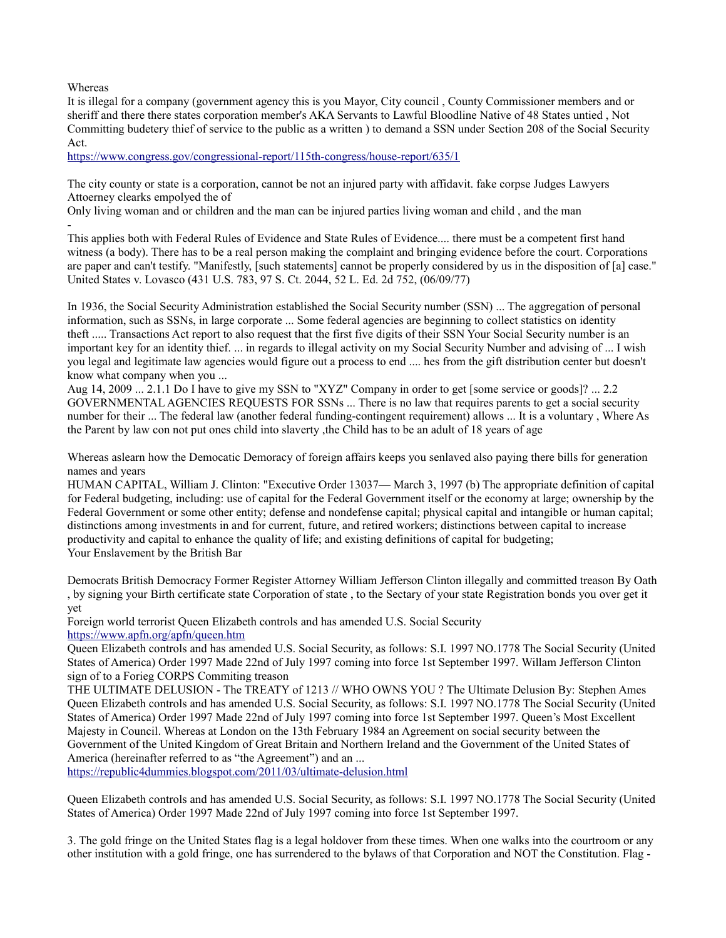Whereas

It is illegal for a company (government agency this is you Mayor, City council , County Commissioner members and or sheriff and there there states corporation member's AKA Servants to Lawful Bloodline Native of 48 States untied , Not Committing budetery thief of service to the public as a written ) to demand a SSN under Section 208 of the Social Security Act.

<https://www.congress.gov/congressional-report/115th-congress/house-report/635/1>

The city county or state is a corporation, cannot be not an injured party with affidavit. fake corpse Judges Lawyers Attoerney clearks empolyed the of

Only living woman and or children and the man can be injured parties living woman and child , and the man -

This applies both with Federal Rules of Evidence and State Rules of Evidence.... there must be a competent first hand witness (a body). There has to be a real person making the complaint and bringing evidence before the court. Corporations are paper and can't testify. "Manifestly, [such statements] cannot be properly considered by us in the disposition of [a] case." United States v. Lovasco (431 U.S. 783, 97 S. Ct. 2044, 52 L. Ed. 2d 752, (06/09/77)

In 1936, the Social Security Administration established the Social Security number (SSN) ... The aggregation of personal information, such as SSNs, in large corporate ... Some federal agencies are beginning to collect statistics on identity theft ..... Transactions Act report to also request that the first five digits of their SSN Your Social Security number is an important key for an identity thief. ... in regards to illegal activity on my Social Security Number and advising of ... I wish you legal and legitimate law agencies would figure out a process to end .... hes from the gift distribution center but doesn't know what company when you ...

Aug 14, 2009 ... 2.1.1 Do I have to give my SSN to "XYZ" Company in order to get [some service or goods]? ... 2.2 GOVERNMENTAL AGENCIES REQUESTS FOR SSNs ... There is no law that requires parents to get a social security number for their ... The federal law (another federal funding-contingent requirement) allows ... It is a voluntary , Where As the Parent by law con not put ones child into slaverty ,the Child has to be an adult of 18 years of age

Whereas aslearn how the Democatic Demoracy of foreign affairs keeps you senlaved also paying there bills for generation names and years

HUMAN CAPITAL, William J. Clinton: "Executive Order 13037— March 3, 1997 (b) The appropriate definition of capital for Federal budgeting, including: use of capital for the Federal Government itself or the economy at large; ownership by the Federal Government or some other entity; defense and nondefense capital; physical capital and intangible or human capital; distinctions among investments in and for current, future, and retired workers; distinctions between capital to increase productivity and capital to enhance the quality of life; and existing definitions of capital for budgeting; Your Enslavement by the British Bar

Democrats British Democracy Former Register Attorney William Jefferson Clinton illegally and committed treason By Oath , by signing your Birth certificate state Corporation of state , to the Sectary of your state Registration bonds you over get it yet

Foreign world terrorist Queen Elizabeth controls and has amended U.S. Social Security <https://www.apfn.org/apfn/queen.htm>

Queen Elizabeth controls and has amended U.S. Social Security, as follows: S.I. 1997 NO.1778 The Social Security (United States of America) Order 1997 Made 22nd of July 1997 coming into force 1st September 1997. Willam Jefferson Clinton sign of to a Forieg CORPS Commiting treason

THE ULTIMATE DELUSION - The TREATY of 1213 // WHO OWNS YOU ? The Ultimate Delusion By: Stephen Ames Queen Elizabeth controls and has amended U.S. Social Security, as follows: S.I. 1997 NO.1778 The Social Security (United States of America) Order 1997 Made 22nd of July 1997 coming into force 1st September 1997. Queen's Most Excellent Majesty in Council. Whereas at London on the 13th February 1984 an Agreement on social security between the Government of the United Kingdom of Great Britain and Northern Ireland and the Government of the United States of America (hereinafter referred to as "the Agreement") and an ...

<https://republic4dummies.blogspot.com/2011/03/ultimate-delusion.html>

Queen Elizabeth controls and has amended U.S. Social Security, as follows: S.I. 1997 NO.1778 The Social Security (United States of America) Order 1997 Made 22nd of July 1997 coming into force 1st September 1997.

3. The gold fringe on the United States flag is a legal holdover from these times. When one walks into the courtroom or any other institution with a gold fringe, one has surrendered to the bylaws of that Corporation and NOT the Constitution. Flag -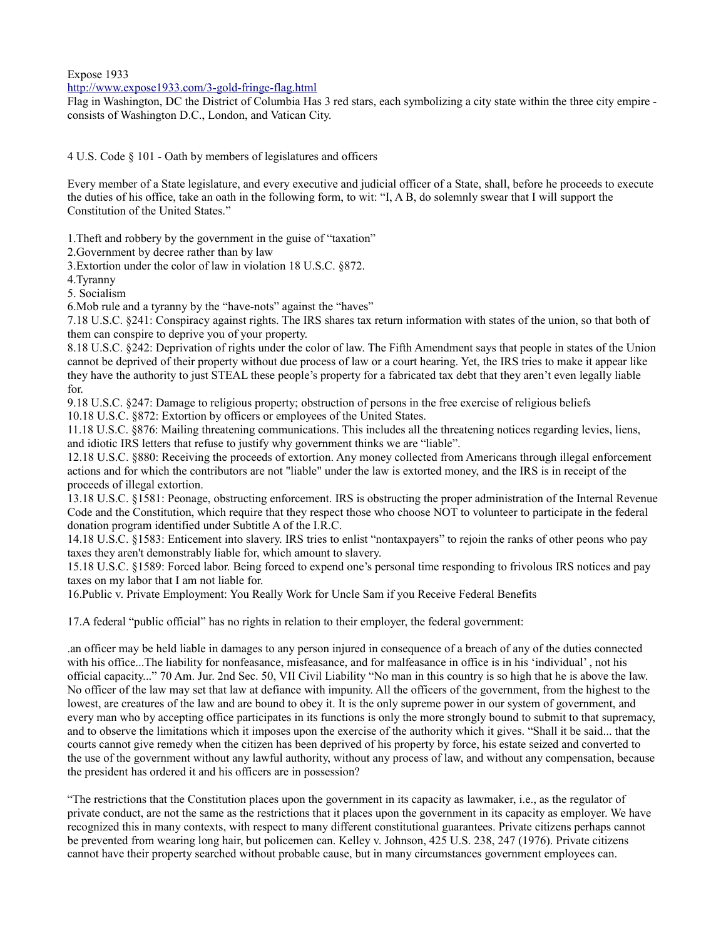Expose 1933

<http://www.expose1933.com/3-gold-fringe-flag.html>

Flag in Washington, DC the District of Columbia Has 3 red stars, each symbolizing a city state within the three city empire consists of Washington D.C., London, and Vatican City.

4 U.S. Code § 101 - Oath by members of legislatures and officers

Every member of a State legislature, and every executive and judicial officer of a State, shall, before he proceeds to execute the duties of his office, take an oath in the following form, to wit: "I, A B, do solemnly swear that I will support the Constitution of the United States."

1.Theft and robbery by the government in the guise of "taxation"

2.Government by decree rather than by law

3.Extortion under the color of law in violation 18 U.S.C. §872.

4.Tyranny

5. Socialism

6.Mob rule and a tyranny by the "have-nots" against the "haves"

7.18 U.S.C. §241: Conspiracy against rights. The IRS shares tax return information with states of the union, so that both of them can conspire to deprive you of your property.

8.18 U.S.C. §242: Deprivation of rights under the color of law. The Fifth Amendment says that people in states of the Union cannot be deprived of their property without due process of law or a court hearing. Yet, the IRS tries to make it appear like they have the authority to just STEAL these people's property for a fabricated tax debt that they aren't even legally liable for.

9.18 U.S.C. §247: Damage to religious property; obstruction of persons in the free exercise of religious beliefs 10.18 U.S.C. §872: Extortion by officers or employees of the United States.

11.18 U.S.C. §876: Mailing threatening communications. This includes all the threatening notices regarding levies, liens, and idiotic IRS letters that refuse to justify why government thinks we are "liable".

12.18 U.S.C. §880: Receiving the proceeds of extortion. Any money collected from Americans through illegal enforcement actions and for which the contributors are not "liable" under the law is extorted money, and the IRS is in receipt of the proceeds of illegal extortion.

13.18 U.S.C. §1581: Peonage, obstructing enforcement. IRS is obstructing the proper administration of the Internal Revenue Code and the Constitution, which require that they respect those who choose NOT to volunteer to participate in the federal donation program identified under Subtitle A of the I.R.C.

14.18 U.S.C. §1583: Enticement into slavery. IRS tries to enlist "nontaxpayers" to rejoin the ranks of other peons who pay taxes they aren't demonstrably liable for, which amount to slavery.

15.18 U.S.C. §1589: Forced labor. Being forced to expend one's personal time responding to frivolous IRS notices and pay taxes on my labor that I am not liable for.

16.Public v. Private Employment: You Really Work for Uncle Sam if you Receive Federal Benefits

17.A federal "public official" has no rights in relation to their employer, the federal government:

.an officer may be held liable in damages to any person injured in consequence of a breach of any of the duties connected with his office...The liability for nonfeasance, misfeasance, and for malfeasance in office is in his 'individual' , not his official capacity..." 70 Am. Jur. 2nd Sec. 50, VII Civil Liability "No man in this country is so high that he is above the law. No officer of the law may set that law at defiance with impunity. All the officers of the government, from the highest to the lowest, are creatures of the law and are bound to obey it. It is the only supreme power in our system of government, and every man who by accepting office participates in its functions is only the more strongly bound to submit to that supremacy, and to observe the limitations which it imposes upon the exercise of the authority which it gives. "Shall it be said... that the courts cannot give remedy when the citizen has been deprived of his property by force, his estate seized and converted to the use of the government without any lawful authority, without any process of law, and without any compensation, because the president has ordered it and his officers are in possession?

"The restrictions that the Constitution places upon the government in its capacity as lawmaker, i.e., as the regulator of private conduct, are not the same as the restrictions that it places upon the government in its capacity as employer. We have recognized this in many contexts, with respect to many different constitutional guarantees. Private citizens perhaps cannot be prevented from wearing long hair, but policemen can. Kelley v. Johnson, 425 U.S. 238, 247 (1976). Private citizens cannot have their property searched without probable cause, but in many circumstances government employees can.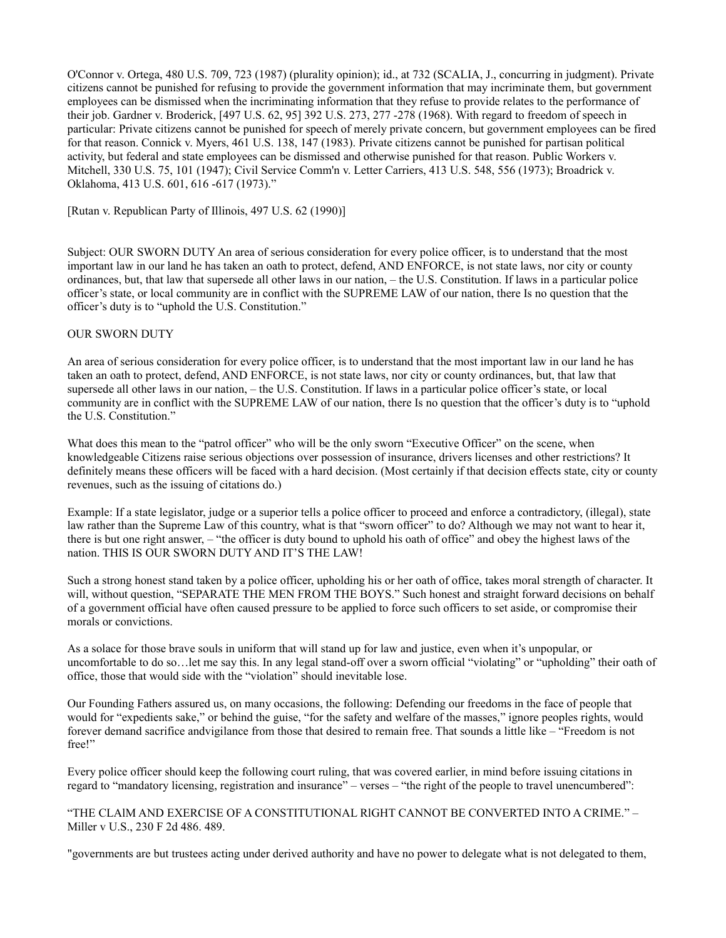O'Connor v. Ortega, 480 U.S. 709, 723 (1987) (plurality opinion); id., at 732 (SCALIA, J., concurring in judgment). Private citizens cannot be punished for refusing to provide the government information that may incriminate them, but government employees can be dismissed when the incriminating information that they refuse to provide relates to the performance of their job. Gardner v. Broderick, [497 U.S. 62, 95] 392 U.S. 273, 277 -278 (1968). With regard to freedom of speech in particular: Private citizens cannot be punished for speech of merely private concern, but government employees can be fired for that reason. Connick v. Myers, 461 U.S. 138, 147 (1983). Private citizens cannot be punished for partisan political activity, but federal and state employees can be dismissed and otherwise punished for that reason. Public Workers v. Mitchell, 330 U.S. 75, 101 (1947); Civil Service Comm'n v. Letter Carriers, 413 U.S. 548, 556 (1973); Broadrick v. Oklahoma, 413 U.S. 601, 616 -617 (1973)."

[Rutan v. Republican Party of Illinois, 497 U.S. 62 (1990)]

Subject: OUR SWORN DUTY An area of serious consideration for every police officer, is to understand that the most important law in our land he has taken an oath to protect, defend, AND ENFORCE, is not state laws, nor city or county ordinances, but, that law that supersede all other laws in our nation, – the U.S. Constitution. If laws in a particular police officer's state, or local community are in conflict with the SUPREME LAW of our nation, there Is no question that the officer's duty is to "uphold the U.S. Constitution."

## OUR SWORN DUTY

An area of serious consideration for every police officer, is to understand that the most important law in our land he has taken an oath to protect, defend, AND ENFORCE, is not state laws, nor city or county ordinances, but, that law that supersede all other laws in our nation, – the U.S. Constitution. If laws in a particular police officer's state, or local community are in conflict with the SUPREME LAW of our nation, there Is no question that the officer's duty is to "uphold the U.S. Constitution."

What does this mean to the "patrol officer" who will be the only sworn "Executive Officer" on the scene, when knowledgeable Citizens raise serious objections over possession of insurance, drivers licenses and other restrictions? It definitely means these officers will be faced with a hard decision. (Most certainly if that decision effects state, city or county revenues, such as the issuing of citations do.)

Example: If a state legislator, judge or a superior tells a police officer to proceed and enforce a contradictory, (illegal), state law rather than the Supreme Law of this country, what is that "sworn officer" to do? Although we may not want to hear it, there is but one right answer, – "the officer is duty bound to uphold his oath of office" and obey the highest laws of the nation. THIS IS OUR SWORN DUTY AND IT'S THE LAW!

Such a strong honest stand taken by a police officer, upholding his or her oath of office, takes moral strength of character. It will, without question, "SEPARATE THE MEN FROM THE BOYS." Such honest and straight forward decisions on behalf of a government official have often caused pressure to be applied to force such officers to set aside, or compromise their morals or convictions.

As a solace for those brave souls in uniform that will stand up for law and justice, even when it's unpopular, or uncomfortable to do so…let me say this. In any legal stand-off over a sworn official "violating" or "upholding" their oath of office, those that would side with the "violation" should inevitable lose.

Our Founding Fathers assured us, on many occasions, the following: Defending our freedoms in the face of people that would for "expedients sake," or behind the guise, "for the safety and welfare of the masses," ignore peoples rights, would forever demand sacrifice andvigilance from those that desired to remain free. That sounds a little like – "Freedom is not free!"

Every police officer should keep the following court ruling, that was covered earlier, in mind before issuing citations in regard to "mandatory licensing, registration and insurance" – verses – "the right of the people to travel unencumbered":

"THE CLAlM AND EXERCISE OF A CONSTITUTIONAL RlGHT CANNOT BE CONVERTED INTO A CRIME." – Miller v U.S., 230 F 2d 486. 489.

"governments are but trustees acting under derived authority and have no power to delegate what is not delegated to them,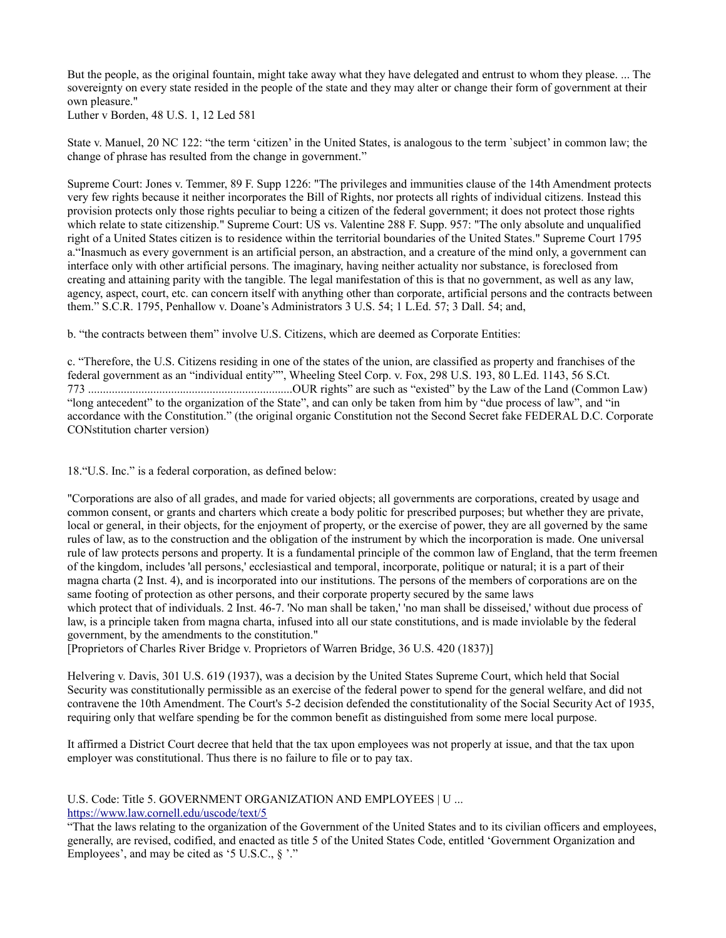But the people, as the original fountain, might take away what they have delegated and entrust to whom they please. ... The sovereignty on every state resided in the people of the state and they may alter or change their form of government at their own pleasure."

Luther v Borden, 48 U.S. 1, 12 Led 581

State v. Manuel, 20 NC 122: "the term 'citizen' in the United States, is analogous to the term `subject' in common law; the change of phrase has resulted from the change in government."

Supreme Court: Jones v. Temmer, 89 F. Supp 1226: "The privileges and immunities clause of the 14th Amendment protects very few rights because it neither incorporates the Bill of Rights, nor protects all rights of individual citizens. Instead this provision protects only those rights peculiar to being a citizen of the federal government; it does not protect those rights which relate to state citizenship." Supreme Court: US vs. Valentine 288 F. Supp. 957: "The only absolute and unqualified right of a United States citizen is to residence within the territorial boundaries of the United States." Supreme Court 1795 a."Inasmuch as every government is an artificial person, an abstraction, and a creature of the mind only, a government can interface only with other artificial persons. The imaginary, having neither actuality nor substance, is foreclosed from creating and attaining parity with the tangible. The legal manifestation of this is that no government, as well as any law, agency, aspect, court, etc. can concern itself with anything other than corporate, artificial persons and the contracts between them." S.C.R. 1795, Penhallow v. Doane's Administrators 3 U.S. 54; 1 L.Ed. 57; 3 Dall. 54; and,

b. "the contracts between them" involve U.S. Citizens, which are deemed as Corporate Entities:

c. "Therefore, the U.S. Citizens residing in one of the states of the union, are classified as property and franchises of the federal government as an "individual entity"", Wheeling Steel Corp. v. Fox, 298 U.S. 193, 80 L.Ed. 1143, 56 S.Ct. 773 .....................................................................OUR rights" are such as "existed" by the Law of the Land (Common Law) "long antecedent" to the organization of the State", and can only be taken from him by "due process of law", and "in accordance with the Constitution." (the original organic Constitution not the Second Secret fake FEDERAL D.C. Corporate CONstitution charter version)

18."U.S. Inc." is a federal corporation, as defined below:

"Corporations are also of all grades, and made for varied objects; all governments are corporations, created by usage and common consent, or grants and charters which create a body politic for prescribed purposes; but whether they are private, local or general, in their objects, for the enjoyment of property, or the exercise of power, they are all governed by the same rules of law, as to the construction and the obligation of the instrument by which the incorporation is made. One universal rule of law protects persons and property. It is a fundamental principle of the common law of England, that the term freemen of the kingdom, includes 'all persons,' ecclesiastical and temporal, incorporate, politique or natural; it is a part of their magna charta (2 Inst. 4), and is incorporated into our institutions. The persons of the members of corporations are on the same footing of protection as other persons, and their corporate property secured by the same laws which protect that of individuals. 2 Inst. 46-7. 'No man shall be taken,' 'no man shall be disseised,' without due process of law, is a principle taken from magna charta, infused into all our state constitutions, and is made inviolable by the federal government, by the amendments to the constitution."

[Proprietors of Charles River Bridge v. Proprietors of Warren Bridge, 36 U.S. 420 (1837)]

Helvering v. Davis, 301 U.S. 619 (1937), was a decision by the United States Supreme Court, which held that Social Security was constitutionally permissible as an exercise of the federal power to spend for the general welfare, and did not contravene the 10th Amendment. The Court's 5-2 decision defended the constitutionality of the Social Security Act of 1935, requiring only that welfare spending be for the common benefit as distinguished from some mere local purpose.

It affirmed a District Court decree that held that the tax upon employees was not properly at issue, and that the tax upon employer was constitutional. Thus there is no failure to file or to pay tax.

U.S. Code: Title 5. GOVERNMENT ORGANIZATION AND EMPLOYEES | U ... <https://www.law.cornell.edu/uscode/text/5>

"That the laws relating to the organization of the Government of the United States and to its civilian officers and employees, generally, are revised, codified, and enacted as title 5 of the United States Code, entitled 'Government Organization and Employees', and may be cited as '5 U.S.C., §'."